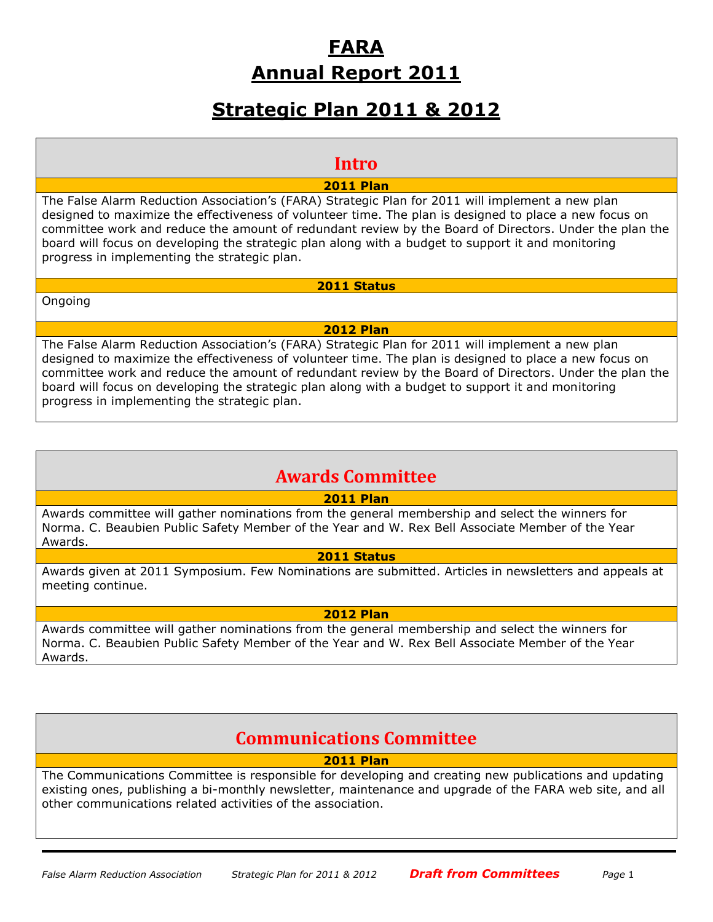# **FARA Annual Report 2011**

# **Strategic Plan 2011 & 2012**

## **Intro**

**2011 Plan**

The False Alarm Reduction Association's (FARA) Strategic Plan for 2011 will implement a new plan designed to maximize the effectiveness of volunteer time. The plan is designed to place a new focus on committee work and reduce the amount of redundant review by the Board of Directors. Under the plan the board will focus on developing the strategic plan along with a budget to support it and monitoring progress in implementing the strategic plan.

Ongoing

**2011 Status**

#### **2012 Plan**

The False Alarm Reduction Association's (FARA) Strategic Plan for 2011 will implement a new plan designed to maximize the effectiveness of volunteer time. The plan is designed to place a new focus on committee work and reduce the amount of redundant review by the Board of Directors. Under the plan the board will focus on developing the strategic plan along with a budget to support it and monitoring progress in implementing the strategic plan.

## **Awards Committee**

## **2011 Plan**

Awards committee will gather nominations from the general membership and select the winners for Norma. C. Beaubien Public Safety Member of the Year and W. Rex Bell Associate Member of the Year Awards.

## **2011 Status**

Awards given at 2011 Symposium. Few Nominations are submitted. Articles in newsletters and appeals at meeting continue.

## **2012 Plan**

Awards committee will gather nominations from the general membership and select the winners for Norma. C. Beaubien Public Safety Member of the Year and W. Rex Bell Associate Member of the Year Awards.

## **Communications Committee**

## **2011 Plan**

The Communications Committee is responsible for developing and creating new publications and updating existing ones, publishing a bi-monthly newsletter, maintenance and upgrade of the FARA web site, and all other communications related activities of the association.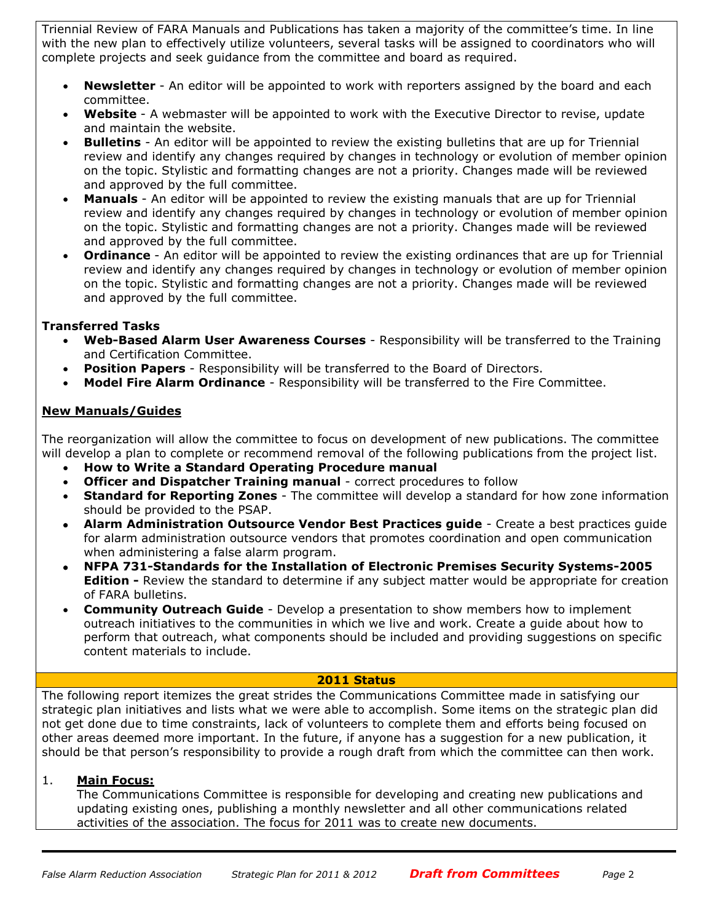Triennial Review of FARA Manuals and Publications has taken a majority of the committee's time. In line with the new plan to effectively utilize volunteers, several tasks will be assigned to coordinators who will complete projects and seek guidance from the committee and board as required.

- **Newsletter** An editor will be appointed to work with reporters assigned by the board and each committee.
- **Website** A webmaster will be appointed to work with the Executive Director to revise, update and maintain the website.
- **Bulletins** An editor will be appointed to review the existing bulletins that are up for Triennial review and identify any changes required by changes in technology or evolution of member opinion on the topic. Stylistic and formatting changes are not a priority. Changes made will be reviewed and approved by the full committee.
- **Manuals**  An editor will be appointed to review the existing manuals that are up for Triennial review and identify any changes required by changes in technology or evolution of member opinion on the topic. Stylistic and formatting changes are not a priority. Changes made will be reviewed and approved by the full committee.
- **Ordinance**  An editor will be appointed to review the existing ordinances that are up for Triennial review and identify any changes required by changes in technology or evolution of member opinion on the topic. Stylistic and formatting changes are not a priority. Changes made will be reviewed and approved by the full committee.

## **Transferred Tasks**

- **Web-Based Alarm User Awareness Courses** Responsibility will be transferred to the Training and Certification Committee.
- **Position Papers** Responsibility will be transferred to the Board of Directors.
- **Model Fire Alarm Ordinance** Responsibility will be transferred to the Fire Committee.

## **New Manuals/Guides**

The reorganization will allow the committee to focus on development of new publications. The committee will develop a plan to complete or recommend removal of the following publications from the project list.

- **How to Write a Standard Operating Procedure manual**
- **Officer and Dispatcher Training manual** correct procedures to follow
- **Standard for Reporting Zones** The committee will develop a standard for how zone information should be provided to the PSAP.
- **Alarm Administration Outsource Vendor Best Practices guide** Create a best practices guide for alarm administration outsource vendors that promotes coordination and open communication when administering a false alarm program.
- **NFPA 731-Standards for the Installation of Electronic Premises Security Systems-2005 Edition -** Review the standard to determine if any subject matter would be appropriate for creation of FARA bulletins.
- **Community Outreach Guide** Develop a presentation to show members how to implement outreach initiatives to the communities in which we live and work. Create a guide about how to perform that outreach, what components should be included and providing suggestions on specific content materials to include.

#### **2011 Status**

The following report itemizes the great strides the Communications Committee made in satisfying our strategic plan initiatives and lists what we were able to accomplish. Some items on the strategic plan did not get done due to time constraints, lack of volunteers to complete them and efforts being focused on other areas deemed more important. In the future, if anyone has a suggestion for a new publication, it should be that person's responsibility to provide a rough draft from which the committee can then work.

## 1. **Main Focus:**

The Communications Committee is responsible for developing and creating new publications and updating existing ones, publishing a monthly newsletter and all other communications related activities of the association. The focus for 2011 was to create new documents.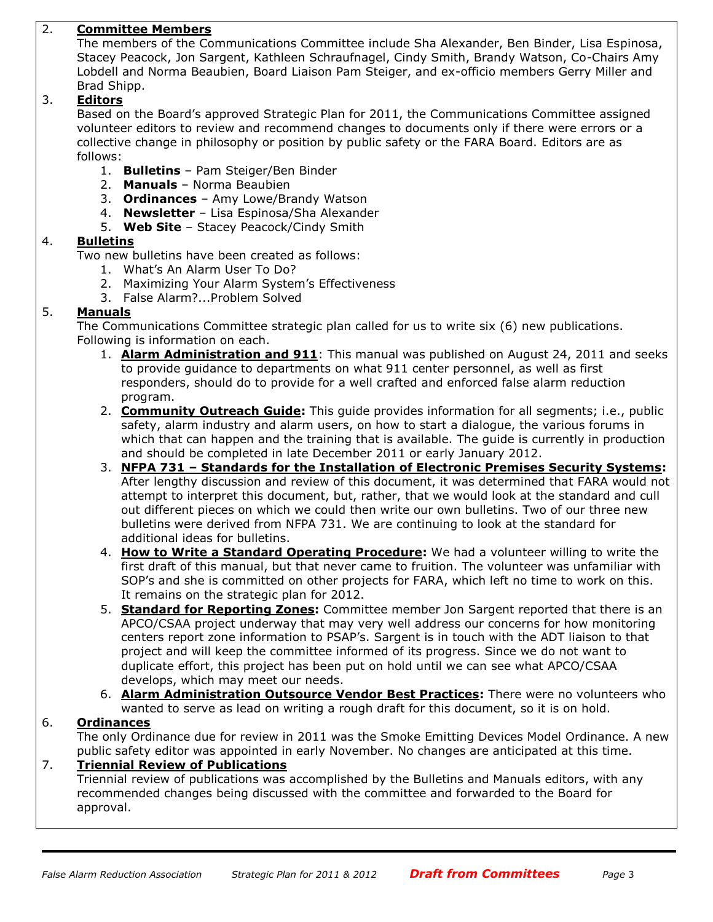## 2. **Committee Members**

The members of the Communications Committee include Sha Alexander, Ben Binder, Lisa Espinosa, Stacey Peacock, Jon Sargent, Kathleen Schraufnagel, Cindy Smith, Brandy Watson, Co-Chairs Amy Lobdell and Norma Beaubien, Board Liaison Pam Steiger, and ex-officio members Gerry Miller and Brad Shipp.

#### 3. **Editors**

Based on the Board's approved Strategic Plan for 2011, the Communications Committee assigned volunteer editors to review and recommend changes to documents only if there were errors or a collective change in philosophy or position by public safety or the FARA Board. Editors are as follows:

- 1. **Bulletins** Pam Steiger/Ben Binder
- 2. **Manuals** Norma Beaubien
- 3. **Ordinances** Amy Lowe/Brandy Watson
- 4. **Newsletter** Lisa Espinosa/Sha Alexander
- 5. **Web Site** Stacey Peacock/Cindy Smith

#### 4. **Bulletins**

Two new bulletins have been created as follows:

- 1. What's An Alarm User To Do?
- 2. Maximizing Your Alarm System's Effectiveness
- 3. False Alarm?...Problem Solved

## 5. **Manuals**

The Communications Committee strategic plan called for us to write six (6) new publications. Following is information on each.

- 1. **Alarm Administration and 911**: This manual was published on August 24, 2011 and seeks to provide guidance to departments on what 911 center personnel, as well as first responders, should do to provide for a well crafted and enforced false alarm reduction program.
- 2. **Community Outreach Guide:** This guide provides information for all segments; i.e., public safety, alarm industry and alarm users, on how to start a dialogue, the various forums in which that can happen and the training that is available. The guide is currently in production and should be completed in late December 2011 or early January 2012.
- 3. **NFPA 731 – Standards for the Installation of Electronic Premises Security Systems:** After lengthy discussion and review of this document, it was determined that FARA would not attempt to interpret this document, but, rather, that we would look at the standard and cull out different pieces on which we could then write our own bulletins. Two of our three new bulletins were derived from NFPA 731. We are continuing to look at the standard for additional ideas for bulletins.
- 4. **How to Write a Standard Operating Procedure:** We had a volunteer willing to write the first draft of this manual, but that never came to fruition. The volunteer was unfamiliar with SOP's and she is committed on other projects for FARA, which left no time to work on this. It remains on the strategic plan for 2012.
- 5. **Standard for Reporting Zones:** Committee member Jon Sargent reported that there is an APCO/CSAA project underway that may very well address our concerns for how monitoring centers report zone information to PSAP's. Sargent is in touch with the ADT liaison to that project and will keep the committee informed of its progress. Since we do not want to duplicate effort, this project has been put on hold until we can see what APCO/CSAA develops, which may meet our needs.
- 6. **Alarm Administration Outsource Vendor Best Practices:** There were no volunteers who wanted to serve as lead on writing a rough draft for this document, so it is on hold.

## 6. **Ordinances**

The only Ordinance due for review in 2011 was the Smoke Emitting Devices Model Ordinance. A new public safety editor was appointed in early November. No changes are anticipated at this time.

#### 7. **Triennial Review of Publications**

Triennial review of publications was accomplished by the Bulletins and Manuals editors, with any recommended changes being discussed with the committee and forwarded to the Board for approval.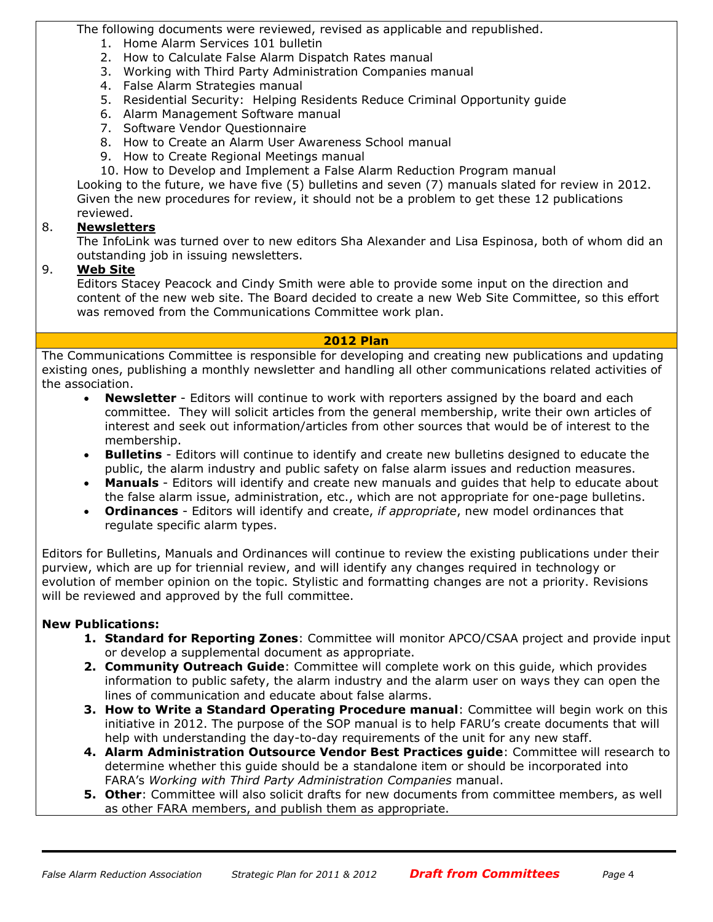The following documents were reviewed, revised as applicable and republished.

- 1. Home Alarm Services 101 bulletin
- 2. How to Calculate False Alarm Dispatch Rates manual
- 3. Working with Third Party Administration Companies manual
- 4. False Alarm Strategies manual
- 5. Residential Security: Helping Residents Reduce Criminal Opportunity guide
- 6. Alarm Management Software manual
- 7. Software Vendor Questionnaire
- 8. How to Create an Alarm User Awareness School manual
- 9. How to Create Regional Meetings manual
- 10. How to Develop and Implement a False Alarm Reduction Program manual

Looking to the future, we have five (5) bulletins and seven (7) manuals slated for review in 2012. Given the new procedures for review, it should not be a problem to get these 12 publications reviewed.

## 8. **Newsletters**

The InfoLink was turned over to new editors Sha Alexander and Lisa Espinosa, both of whom did an outstanding job in issuing newsletters.

## 9. **Web Site**

Editors Stacey Peacock and Cindy Smith were able to provide some input on the direction and content of the new web site. The Board decided to create a new Web Site Committee, so this effort was removed from the Communications Committee work plan.

#### **2012 Plan**

The Communications Committee is responsible for developing and creating new publications and updating existing ones, publishing a monthly newsletter and handling all other communications related activities of the association.

- **Newsletter** Editors will continue to work with reporters assigned by the board and each committee. They will solicit articles from the general membership, write their own articles of interest and seek out information/articles from other sources that would be of interest to the membership.
- **Bulletins** Editors will continue to identify and create new bulletins designed to educate the public, the alarm industry and public safety on false alarm issues and reduction measures.
- **Manuals** Editors will identify and create new manuals and guides that help to educate about the false alarm issue, administration, etc., which are not appropriate for one-page bulletins.
- **Ordinances** Editors will identify and create, *if appropriate*, new model ordinances that regulate specific alarm types.

Editors for Bulletins, Manuals and Ordinances will continue to review the existing publications under their purview, which are up for triennial review, and will identify any changes required in technology or evolution of member opinion on the topic. Stylistic and formatting changes are not a priority. Revisions will be reviewed and approved by the full committee.

## **New Publications:**

- **1. Standard for Reporting Zones**: Committee will monitor APCO/CSAA project and provide input or develop a supplemental document as appropriate.
- **2. Community Outreach Guide**: Committee will complete work on this guide, which provides information to public safety, the alarm industry and the alarm user on ways they can open the lines of communication and educate about false alarms.
- **3. How to Write a Standard Operating Procedure manual**: Committee will begin work on this initiative in 2012. The purpose of the SOP manual is to help FARU's create documents that will help with understanding the day-to-day requirements of the unit for any new staff.
- **4. Alarm Administration Outsource Vendor Best Practices guide**: Committee will research to determine whether this guide should be a standalone item or should be incorporated into FARA's *Working with Third Party Administration Companies* manual.
- **5. Other**: Committee will also solicit drafts for new documents from committee members, as well as other FARA members, and publish them as appropriate.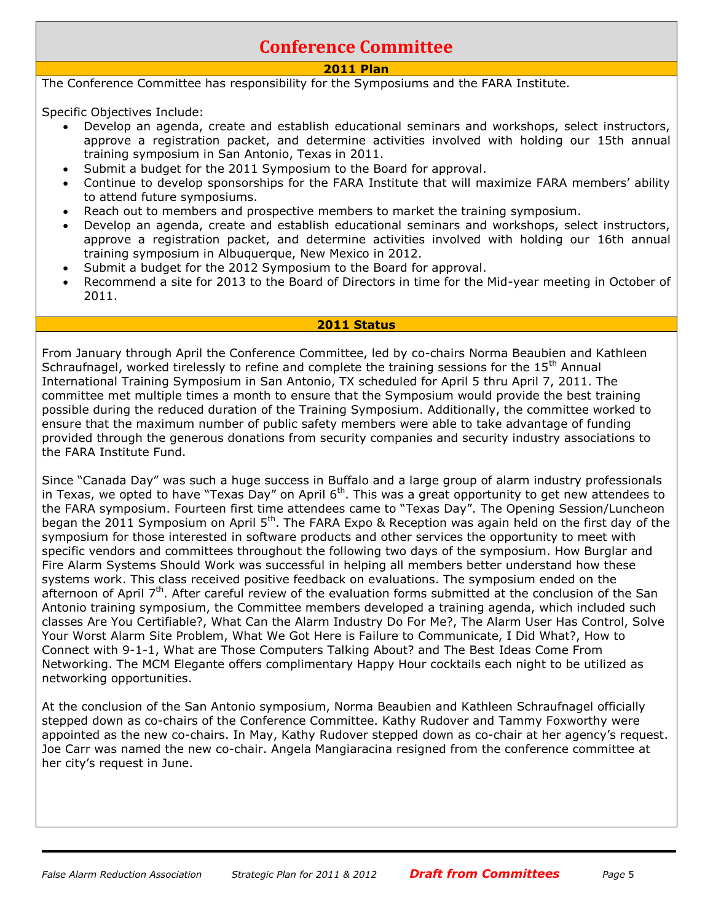## **Conference Committee**

## **2011 Plan**

The Conference Committee has responsibility for the Symposiums and the FARA Institute.

Specific Objectives Include:

- Develop an agenda, create and establish educational seminars and workshops, select instructors, approve a registration packet, and determine activities involved with holding our 15th annual training symposium in San Antonio, Texas in 2011.
- Submit a budget for the 2011 Symposium to the Board for approval.
- Continue to develop sponsorships for the FARA Institute that will maximize FARA members' ability to attend future symposiums.
- Reach out to members and prospective members to market the training symposium.
- Develop an agenda, create and establish educational seminars and workshops, select instructors, approve a registration packet, and determine activities involved with holding our 16th annual training symposium in Albuquerque, New Mexico in 2012.
- Submit a budget for the 2012 Symposium to the Board for approval.
- Recommend a site for 2013 to the Board of Directors in time for the Mid-year meeting in October of 2011.

#### **2011 Status**

From January through April the Conference Committee, led by co-chairs Norma Beaubien and Kathleen Schraufnagel, worked tirelessly to refine and complete the training sessions for the 15<sup>th</sup> Annual International Training Symposium in San Antonio, TX scheduled for April 5 thru April 7, 2011. The committee met multiple times a month to ensure that the Symposium would provide the best training possible during the reduced duration of the Training Symposium. Additionally, the committee worked to ensure that the maximum number of public safety members were able to take advantage of funding provided through the generous donations from security companies and security industry associations to the FARA Institute Fund.

Since "Canada Day" was such a huge success in Buffalo and a large group of alarm industry professionals in Texas, we opted to have "Texas Day" on April  $6<sup>th</sup>$ . This was a great opportunity to get new attendees to the FARA symposium. Fourteen first time attendees came to "Texas Day". The Opening Session/Luncheon began the 2011 Symposium on April 5<sup>th</sup>. The FARA Expo & Reception was again held on the first day of the symposium for those interested in software products and other services the opportunity to meet with specific vendors and committees throughout the following two days of the symposium. How Burglar and Fire Alarm Systems Should Work was successful in helping all members better understand how these systems work. This class received positive feedback on evaluations. The symposium ended on the afternoon of April 7<sup>th</sup>. After careful review of the evaluation forms submitted at the conclusion of the San Antonio training symposium, the Committee members developed a training agenda, which included such classes Are You Certifiable?, What Can the Alarm Industry Do For Me?, The Alarm User Has Control, Solve Your Worst Alarm Site Problem, What We Got Here is Failure to Communicate, I Did What?, How to Connect with 9-1-1, What are Those Computers Talking About? and The Best Ideas Come From Networking. The MCM Elegante offers complimentary Happy Hour cocktails each night to be utilized as networking opportunities.

At the conclusion of the San Antonio symposium, Norma Beaubien and Kathleen Schraufnagel officially stepped down as co-chairs of the Conference Committee. Kathy Rudover and Tammy Foxworthy were appointed as the new co-chairs. In May, Kathy Rudover stepped down as co-chair at her agency's request. Joe Carr was named the new co-chair. Angela Mangiaracina resigned from the conference committee at her city's request in June.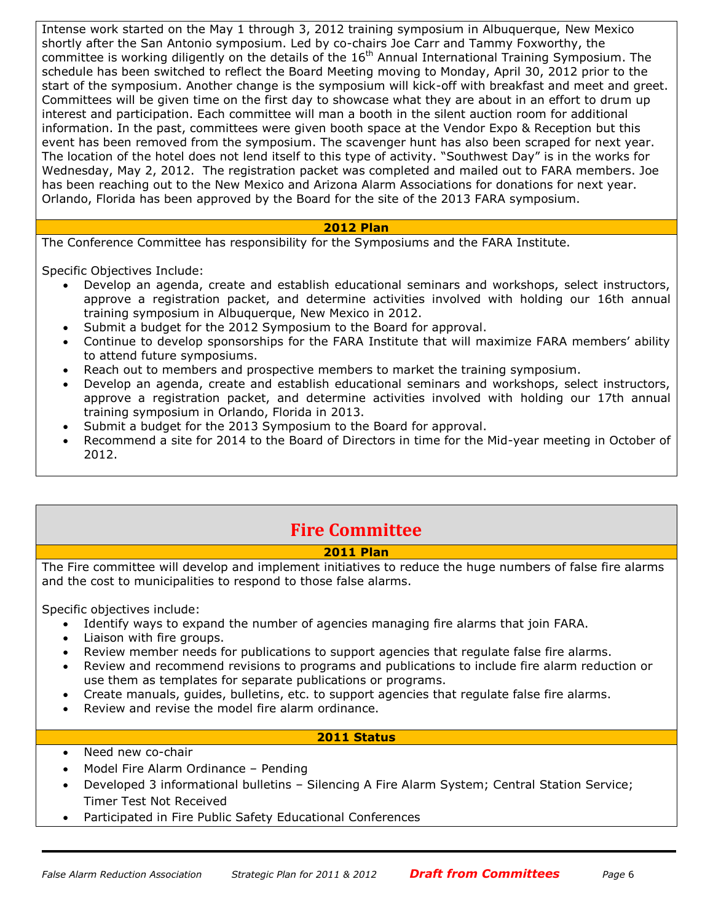Intense work started on the May 1 through 3, 2012 training symposium in Albuquerque, New Mexico shortly after the San Antonio symposium. Led by co-chairs Joe Carr and Tammy Foxworthy, the committee is working diligently on the details of the 16<sup>th</sup> Annual International Training Symposium. The schedule has been switched to reflect the Board Meeting moving to Monday, April 30, 2012 prior to the start of the symposium. Another change is the symposium will kick-off with breakfast and meet and greet. Committees will be given time on the first day to showcase what they are about in an effort to drum up interest and participation. Each committee will man a booth in the silent auction room for additional information. In the past, committees were given booth space at the Vendor Expo & Reception but this event has been removed from the symposium. The scavenger hunt has also been scraped for next year. The location of the hotel does not lend itself to this type of activity. "Southwest Day" is in the works for Wednesday, May 2, 2012. The registration packet was completed and mailed out to FARA members. Joe has been reaching out to the New Mexico and Arizona Alarm Associations for donations for next year. Orlando, Florida has been approved by the Board for the site of the 2013 FARA symposium.

#### **2012 Plan**

The Conference Committee has responsibility for the Symposiums and the FARA Institute.

Specific Objectives Include:

- Develop an agenda, create and establish educational seminars and workshops, select instructors, approve a registration packet, and determine activities involved with holding our 16th annual training symposium in Albuquerque, New Mexico in 2012.
- Submit a budget for the 2012 Symposium to the Board for approval.
- Continue to develop sponsorships for the FARA Institute that will maximize FARA members' ability to attend future symposiums.
- Reach out to members and prospective members to market the training symposium.
- Develop an agenda, create and establish educational seminars and workshops, select instructors, approve a registration packet, and determine activities involved with holding our 17th annual training symposium in Orlando, Florida in 2013.
- Submit a budget for the 2013 Symposium to the Board for approval.
- Recommend a site for 2014 to the Board of Directors in time for the Mid-year meeting in October of 2012.

## **Fire Committee**

#### **2011 Plan**

The Fire committee will develop and implement initiatives to reduce the huge numbers of false fire alarms and the cost to municipalities to respond to those false alarms.

Specific objectives include:

- Identify ways to expand the number of agencies managing fire alarms that join FARA.
- Liaison with fire groups.
- Review member needs for publications to support agencies that regulate false fire alarms.
- Review and recommend revisions to programs and publications to include fire alarm reduction or use them as templates for separate publications or programs.
- Create manuals, guides, bulletins, etc. to support agencies that regulate false fire alarms.
- Review and revise the model fire alarm ordinance.

#### **2011 Status**

- Need new co-chair
- Model Fire Alarm Ordinance Pending
- Developed 3 informational bulletins Silencing A Fire Alarm System; Central Station Service; Timer Test Not Received
- Participated in Fire Public Safety Educational Conferences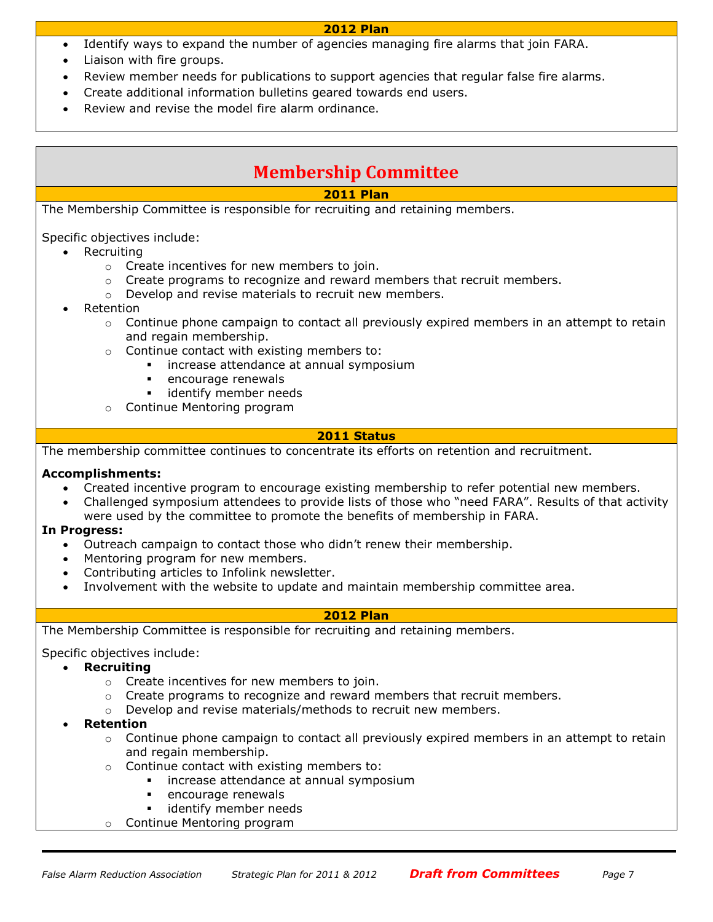#### **2012 Plan**

- Identify ways to expand the number of agencies managing fire alarms that join FARA.
- Liaison with fire groups.
- Review member needs for publications to support agencies that regular false fire alarms.
- Create additional information bulletins geared towards end users.
- Review and revise the model fire alarm ordinance.

## **Membership Committee**

#### **2011 Plan**

The Membership Committee is responsible for recruiting and retaining members.

Specific objectives include:

- Recruiting
	- o Create incentives for new members to join.
	- $\circ$  Create programs to recognize and reward members that recruit members.
	- o Develop and revise materials to recruit new members.
- Retention
	- $\circ$  Continue phone campaign to contact all previously expired members in an attempt to retain and regain membership.
	- o Continue contact with existing members to:
		- **·** increase attendance at annual symposium
		- encourage renewals
		- **EXEC** identify member needs
	- o Continue Mentoring program

#### **2011 Status**

The membership committee continues to concentrate its efforts on retention and recruitment.

#### **Accomplishments:**

- Created incentive program to encourage existing membership to refer potential new members.
- Challenged symposium attendees to provide lists of those who "need FARA". Results of that activity were used by the committee to promote the benefits of membership in FARA.

#### **In Progress:**

- Outreach campaign to contact those who didn't renew their membership.
- Mentoring program for new members.
- Contributing articles to Infolink newsletter.
- Involvement with the website to update and maintain membership committee area.

#### **2012 Plan**

The Membership Committee is responsible for recruiting and retaining members.

Specific objectives include:

#### **Recruiting**

- o Create incentives for new members to join.
- $\circ$  Create programs to recognize and reward members that recruit members.
- o Develop and revise materials/methods to recruit new members.
- **Retention**
	- $\circ$  Continue phone campaign to contact all previously expired members in an attempt to retain and regain membership.
	- o Continue contact with existing members to:
		- increase attendance at annual symposium
			- encourage renewals
			- identify member needs
	- o Continue Mentoring program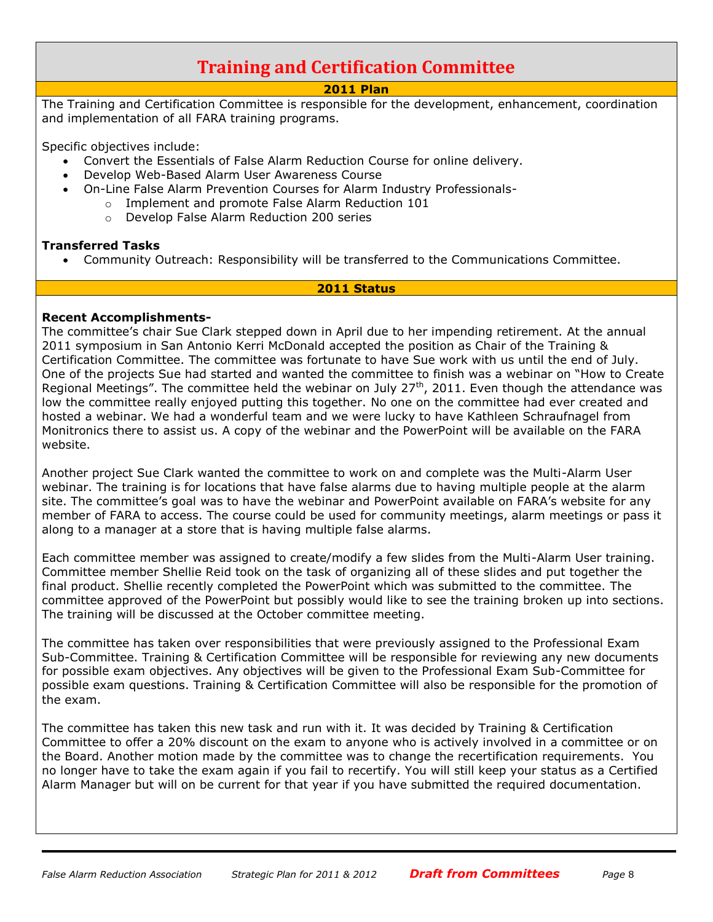## **Training and Certification Committee**

#### **2011 Plan**

The Training and Certification Committee is responsible for the development, enhancement, coordination and implementation of all FARA training programs.

Specific objectives include:

- Convert the Essentials of False Alarm Reduction Course for online delivery.
- Develop Web-Based Alarm User Awareness Course
	- On-Line False Alarm Prevention Courses for Alarm Industry Professionals
		- o Implement and promote False Alarm Reduction 101
			- o Develop False Alarm Reduction 200 series

#### **Transferred Tasks**

Community Outreach: Responsibility will be transferred to the Communications Committee.

#### **2011 Status**

#### **Recent Accomplishments-**

The committee's chair Sue Clark stepped down in April due to her impending retirement. At the annual 2011 symposium in San Antonio Kerri McDonald accepted the position as Chair of the Training & Certification Committee. The committee was fortunate to have Sue work with us until the end of July. One of the projects Sue had started and wanted the committee to finish was a webinar on "How to Create Regional Meetings". The committee held the webinar on July  $27<sup>th</sup>$ , 2011. Even though the attendance was low the committee really enjoyed putting this together. No one on the committee had ever created and hosted a webinar. We had a wonderful team and we were lucky to have Kathleen Schraufnagel from Monitronics there to assist us. A copy of the webinar and the PowerPoint will be available on the FARA website.

Another project Sue Clark wanted the committee to work on and complete was the Multi-Alarm User webinar. The training is for locations that have false alarms due to having multiple people at the alarm site. The committee's goal was to have the webinar and PowerPoint available on FARA's website for any member of FARA to access. The course could be used for community meetings, alarm meetings or pass it along to a manager at a store that is having multiple false alarms.

Each committee member was assigned to create/modify a few slides from the Multi-Alarm User training. Committee member Shellie Reid took on the task of organizing all of these slides and put together the final product. Shellie recently completed the PowerPoint which was submitted to the committee. The committee approved of the PowerPoint but possibly would like to see the training broken up into sections. The training will be discussed at the October committee meeting.

The committee has taken over responsibilities that were previously assigned to the Professional Exam Sub-Committee. Training & Certification Committee will be responsible for reviewing any new documents for possible exam objectives. Any objectives will be given to the Professional Exam Sub-Committee for possible exam questions. Training & Certification Committee will also be responsible for the promotion of the exam.

The committee has taken this new task and run with it. It was decided by Training & Certification Committee to offer a 20% discount on the exam to anyone who is actively involved in a committee or on the Board. Another motion made by the committee was to change the recertification requirements. You no longer have to take the exam again if you fail to recertify. You will still keep your status as a Certified Alarm Manager but will on be current for that year if you have submitted the required documentation.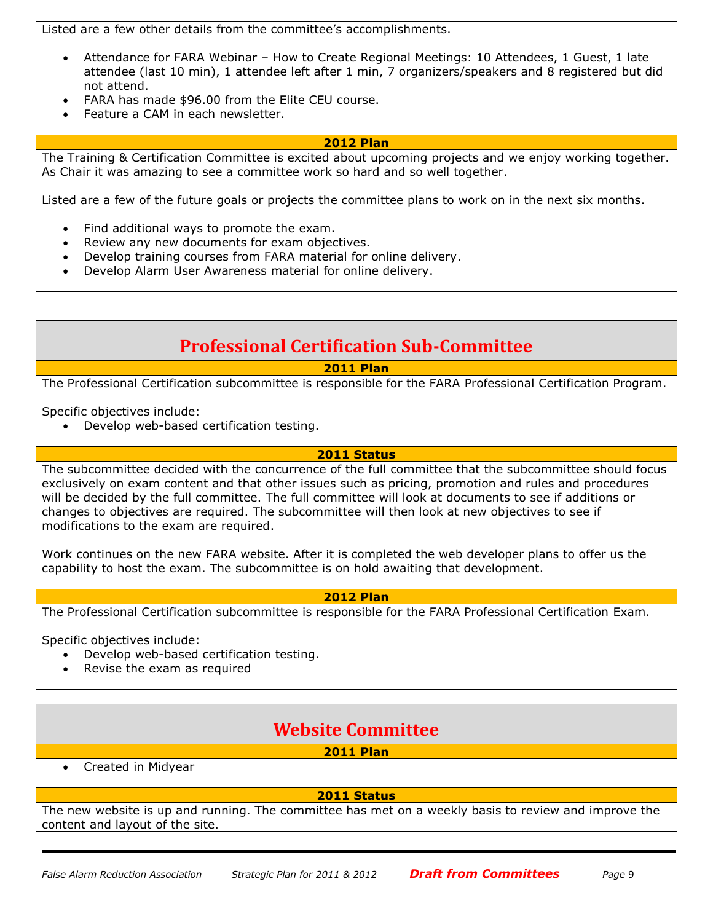Listed are a few other details from the committee's accomplishments.

- Attendance for FARA Webinar How to Create Regional Meetings: 10 Attendees, 1 Guest, 1 late attendee (last 10 min), 1 attendee left after 1 min, 7 organizers/speakers and 8 registered but did not attend.
- FARA has made \$96.00 from the Elite CEU course.
- Feature a CAM in each newsletter.

#### **2012 Plan**

The Training & Certification Committee is excited about upcoming projects and we enjoy working together. As Chair it was amazing to see a committee work so hard and so well together.

Listed are a few of the future goals or projects the committee plans to work on in the next six months.

- Find additional ways to promote the exam.
- Review any new documents for exam objectives.
- Develop training courses from FARA material for online delivery.
- Develop Alarm User Awareness material for online delivery.

## **Professional Certification Sub-Committee**

### **2011 Plan**

The Professional Certification subcommittee is responsible for the FARA Professional Certification Program.

Specific objectives include:

Develop web-based certification testing.

#### **2011 Status**

The subcommittee decided with the concurrence of the full committee that the subcommittee should focus exclusively on exam content and that other issues such as pricing, promotion and rules and procedures will be decided by the full committee. The full committee will look at documents to see if additions or changes to objectives are required. The subcommittee will then look at new objectives to see if modifications to the exam are required.

Work continues on the new FARA website. After it is completed the web developer plans to offer us the capability to host the exam. The subcommittee is on hold awaiting that development.

#### **2012 Plan**

The Professional Certification subcommittee is responsible for the FARA Professional Certification Exam.

Specific objectives include:

- Develop web-based certification testing.
- Revise the exam as required

## **Website Committee**

## **2011 Plan**

Created in Midyear

#### **2011 Status**

The new website is up and running. The committee has met on a weekly basis to review and improve the content and layout of the site.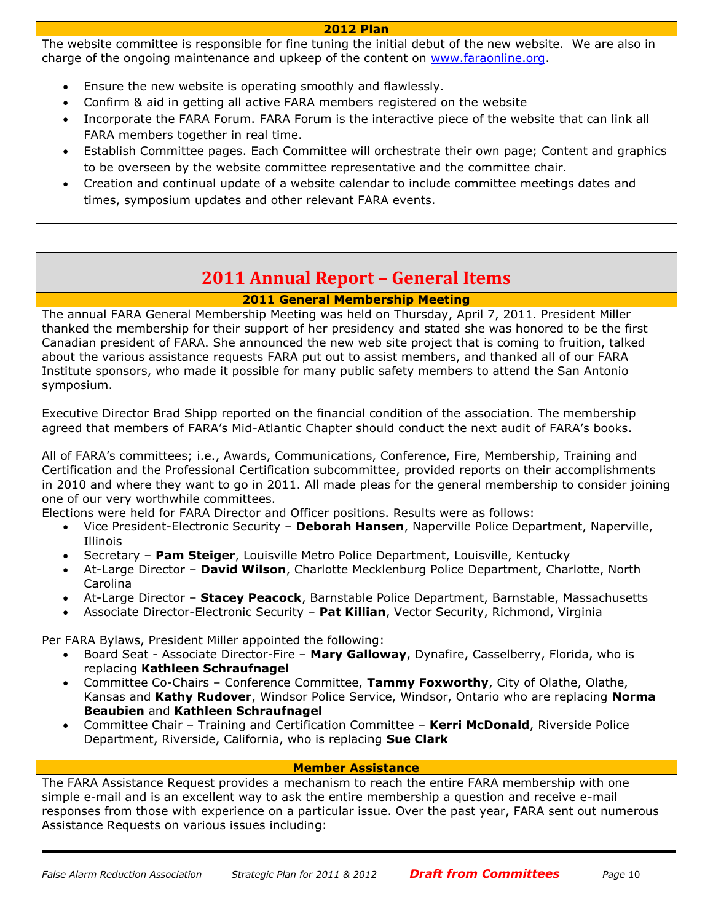#### **2012 Plan**

The website committee is responsible for fine tuning the initial debut of the new website. We are also in charge of the ongoing maintenance and upkeep of the content on [www.faraonline.org.](http://www.faraonline.org/)

- Ensure the new website is operating smoothly and flawlessly.
- Confirm & aid in getting all active FARA members registered on the website
- Incorporate the FARA Forum. FARA Forum is the interactive piece of the website that can link all FARA members together in real time.
- Establish Committee pages. Each Committee will orchestrate their own page; Content and graphics to be overseen by the website committee representative and the committee chair.
- Creation and continual update of a website calendar to include committee meetings dates and times, symposium updates and other relevant FARA events.

## **2011 Annual Report – General Items**

## **2011 General Membership Meeting**

The annual FARA General Membership Meeting was held on Thursday, April 7, 2011. President Miller thanked the membership for their support of her presidency and stated she was honored to be the first Canadian president of FARA. She announced the new web site project that is coming to fruition, talked about the various assistance requests FARA put out to assist members, and thanked all of our FARA Institute sponsors, who made it possible for many public safety members to attend the San Antonio symposium.

Executive Director Brad Shipp reported on the financial condition of the association. The membership agreed that members of FARA's Mid-Atlantic Chapter should conduct the next audit of FARA's books.

All of FARA's committees; i.e., Awards, Communications, Conference, Fire, Membership, Training and Certification and the Professional Certification subcommittee, provided reports on their accomplishments in 2010 and where they want to go in 2011. All made pleas for the general membership to consider joining one of our very worthwhile committees.

Elections were held for FARA Director and Officer positions. Results were as follows:

- Vice President-Electronic Security **Deborah Hansen**, Naperville Police Department, Naperville, Illinois
- Secretary **Pam Steiger**, Louisville Metro Police Department, Louisville, Kentucky
- At-Large Director **David Wilson**, Charlotte Mecklenburg Police Department, Charlotte, North Carolina
- At-Large Director **Stacey Peacock**, Barnstable Police Department, Barnstable, Massachusetts
- Associate Director-Electronic Security **Pat Killian**, Vector Security, Richmond, Virginia

Per FARA Bylaws, President Miller appointed the following:

- Board Seat Associate Director-Fire **Mary Galloway**, Dynafire, Casselberry, Florida, who is replacing **Kathleen Schraufnagel**
- Committee Co-Chairs Conference Committee, **Tammy Foxworthy**, City of Olathe, Olathe, Kansas and **Kathy Rudover**, Windsor Police Service, Windsor, Ontario who are replacing **Norma Beaubien** and **Kathleen Schraufnagel**
- Committee Chair Training and Certification Committee **Kerri McDonald**, Riverside Police Department, Riverside, California, who is replacing **Sue Clark**

#### **Member Assistance**

The FARA Assistance Request provides a mechanism to reach the entire FARA membership with one simple e-mail and is an excellent way to ask the entire membership a question and receive e-mail responses from those with experience on a particular issue. Over the past year, FARA sent out numerous Assistance Requests on various issues including: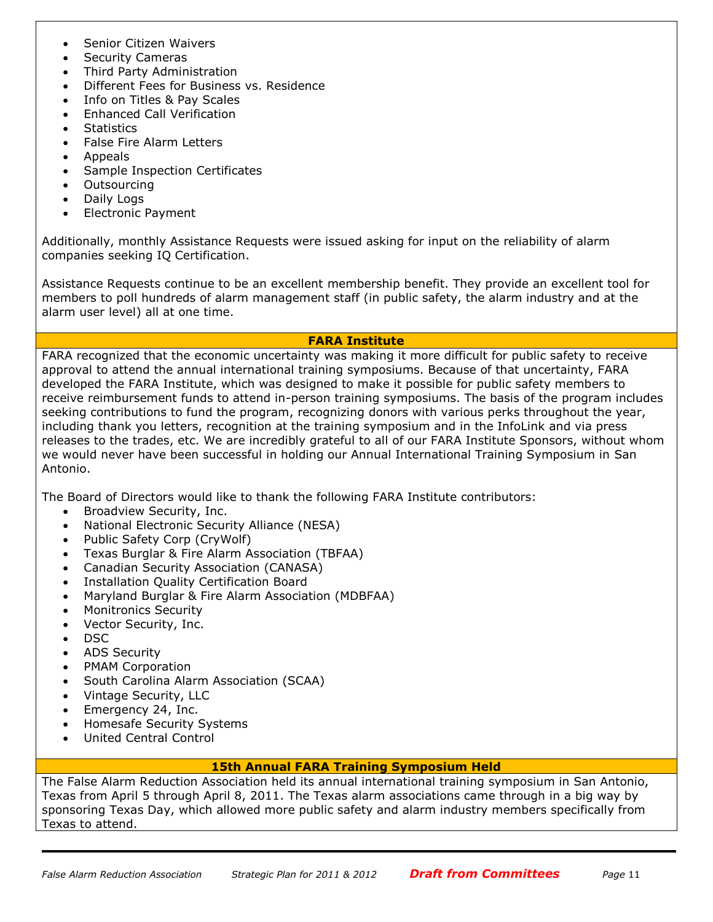- Senior Citizen Waivers
- Security Cameras
- Third Party Administration
- Different Fees for Business vs. Residence
- Info on Titles & Pay Scales
- Enhanced Call Verification
- **Statistics**
- False Fire Alarm Letters
- **Appeals**
- Sample Inspection Certificates
- **Outsourcing**
- Daily Logs
- Electronic Payment

Additionally, monthly Assistance Requests were issued asking for input on the reliability of alarm companies seeking IQ Certification.

Assistance Requests continue to be an excellent membership benefit. They provide an excellent tool for members to poll hundreds of alarm management staff (in public safety, the alarm industry and at the alarm user level) all at one time.

#### **FARA Institute**

FARA recognized that the economic uncertainty was making it more difficult for public safety to receive approval to attend the annual international training symposiums. Because of that uncertainty, FARA developed the FARA Institute, which was designed to make it possible for public safety members to receive reimbursement funds to attend in-person training symposiums. The basis of the program includes seeking contributions to fund the program, recognizing donors with various perks throughout the year, including thank you letters, recognition at the training symposium and in the InfoLink and via press releases to the trades, etc. We are incredibly grateful to all of our FARA Institute Sponsors, without whom we would never have been successful in holding our Annual International Training Symposium in San Antonio.

The Board of Directors would like to thank the following FARA Institute contributors:

- Broadview Security, Inc.
- National Electronic Security Alliance (NESA)
- Public Safety Corp (CryWolf)
- Texas Burglar & Fire Alarm Association (TBFAA)
- Canadian Security Association (CANASA)
- Installation Quality Certification Board
- Maryland Burglar & Fire Alarm Association (MDBFAA)
- Monitronics Security
- Vector Security, Inc.
- DSC
- ADS Security
- PMAM Corporation
- South Carolina Alarm Association (SCAA)
- Vintage Security, LLC
- Emergency 24, Inc.
- Homesafe Security Systems
- United Central Control

#### **15th Annual FARA Training Symposium Held**

The False Alarm Reduction Association held its annual international training symposium in San Antonio, Texas from April 5 through April 8, 2011. The Texas alarm associations came through in a big way by sponsoring Texas Day, which allowed more public safety and alarm industry members specifically from Texas to attend.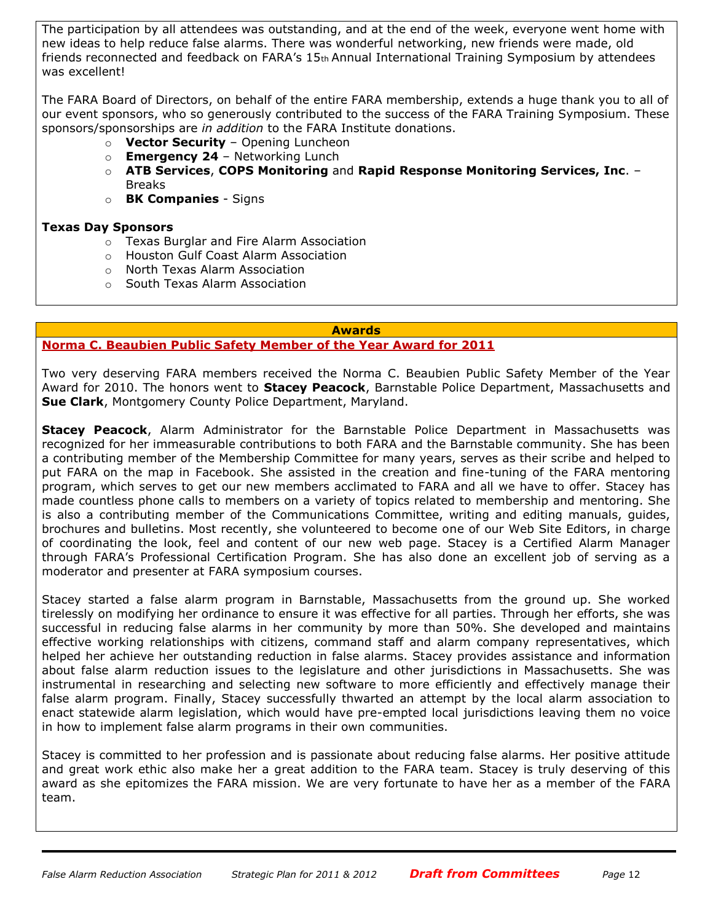The participation by all attendees was outstanding, and at the end of the week, everyone went home with new ideas to help reduce false alarms. There was wonderful networking, new friends were made, old friends reconnected and feedback on FARA's 15th Annual International Training Symposium by attendees was excellent!

The FARA Board of Directors, on behalf of the entire FARA membership, extends a huge thank you to all of our event sponsors, who so generously contributed to the success of the FARA Training Symposium. These sponsors/sponsorships are *in addition* to the FARA Institute donations.

- o **Vector Security**  Opening Luncheon
- o **Emergency 24**  Networking Lunch
- o **ATB Services**, **COPS Monitoring** and **Rapid Response Monitoring Services, Inc**. Breaks
- o **BK Companies**  Signs

#### **Texas Day Sponsors**

- o Texas Burglar and Fire Alarm Association
- o Houston Gulf Coast Alarm Association
- o North Texas Alarm Association
- o South Texas Alarm Association

#### **Awards**

#### **Norma C. Beaubien Public Safety Member of the Year Award for 2011**

Two very deserving FARA members received the Norma C. Beaubien Public Safety Member of the Year Award for 2010. The honors went to **Stacey Peacock**, Barnstable Police Department, Massachusetts and **Sue Clark**, Montgomery County Police Department, Maryland.

**Stacey Peacock**, Alarm Administrator for the Barnstable Police Department in Massachusetts was recognized for her immeasurable contributions to both FARA and the Barnstable community. She has been a contributing member of the Membership Committee for many years, serves as their scribe and helped to put FARA on the map in Facebook. She assisted in the creation and fine-tuning of the FARA mentoring program, which serves to get our new members acclimated to FARA and all we have to offer. Stacey has made countless phone calls to members on a variety of topics related to membership and mentoring. She is also a contributing member of the Communications Committee, writing and editing manuals, guides, brochures and bulletins. Most recently, she volunteered to become one of our Web Site Editors, in charge of coordinating the look, feel and content of our new web page. Stacey is a Certified Alarm Manager through FARA's Professional Certification Program. She has also done an excellent job of serving as a moderator and presenter at FARA symposium courses.

Stacey started a false alarm program in Barnstable, Massachusetts from the ground up. She worked tirelessly on modifying her ordinance to ensure it was effective for all parties. Through her efforts, she was successful in reducing false alarms in her community by more than 50%. She developed and maintains effective working relationships with citizens, command staff and alarm company representatives, which helped her achieve her outstanding reduction in false alarms. Stacey provides assistance and information about false alarm reduction issues to the legislature and other jurisdictions in Massachusetts. She was instrumental in researching and selecting new software to more efficiently and effectively manage their false alarm program. Finally, Stacey successfully thwarted an attempt by the local alarm association to enact statewide alarm legislation, which would have pre-empted local jurisdictions leaving them no voice in how to implement false alarm programs in their own communities.

Stacey is committed to her profession and is passionate about reducing false alarms. Her positive attitude and great work ethic also make her a great addition to the FARA team. Stacey is truly deserving of this award as she epitomizes the FARA mission. We are very fortunate to have her as a member of the FARA team.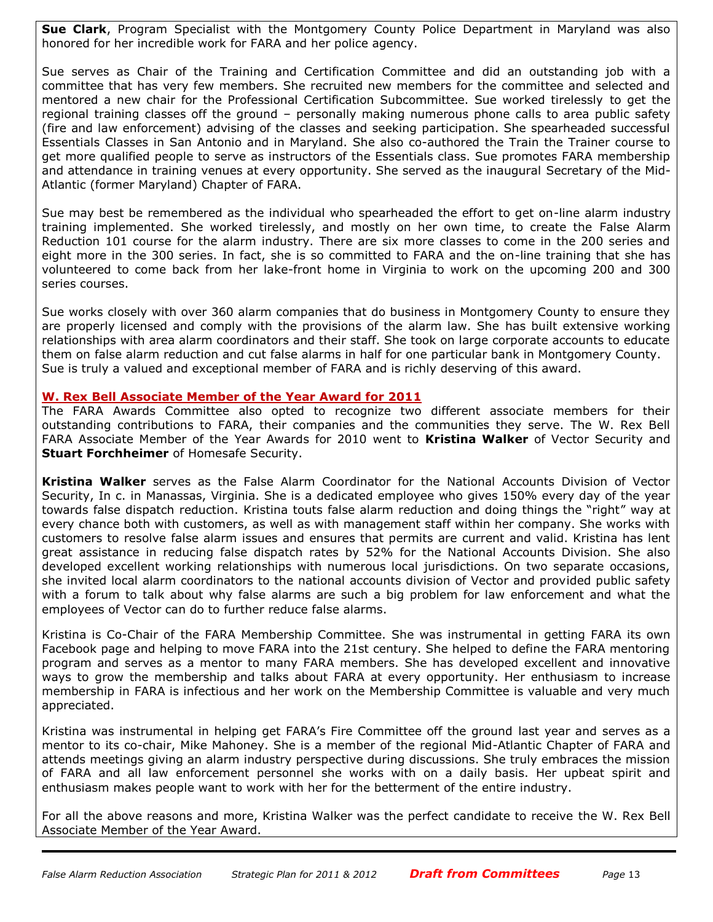**Sue Clark**, Program Specialist with the Montgomery County Police Department in Maryland was also honored for her incredible work for FARA and her police agency.

Sue serves as Chair of the Training and Certification Committee and did an outstanding job with a committee that has very few members. She recruited new members for the committee and selected and mentored a new chair for the Professional Certification Subcommittee. Sue worked tirelessly to get the regional training classes off the ground – personally making numerous phone calls to area public safety (fire and law enforcement) advising of the classes and seeking participation. She spearheaded successful Essentials Classes in San Antonio and in Maryland. She also co-authored the Train the Trainer course to get more qualified people to serve as instructors of the Essentials class. Sue promotes FARA membership and attendance in training venues at every opportunity. She served as the inaugural Secretary of the Mid-Atlantic (former Maryland) Chapter of FARA.

Sue may best be remembered as the individual who spearheaded the effort to get on-line alarm industry training implemented. She worked tirelessly, and mostly on her own time, to create the False Alarm Reduction 101 course for the alarm industry. There are six more classes to come in the 200 series and eight more in the 300 series. In fact, she is so committed to FARA and the on-line training that she has volunteered to come back from her lake-front home in Virginia to work on the upcoming 200 and 300 series courses.

Sue works closely with over 360 alarm companies that do business in Montgomery County to ensure they are properly licensed and comply with the provisions of the alarm law. She has built extensive working relationships with area alarm coordinators and their staff. She took on large corporate accounts to educate them on false alarm reduction and cut false alarms in half for one particular bank in Montgomery County. Sue is truly a valued and exceptional member of FARA and is richly deserving of this award.

#### **W. Rex Bell Associate Member of the Year Award for 2011**

The FARA Awards Committee also opted to recognize two different associate members for their outstanding contributions to FARA, their companies and the communities they serve. The W. Rex Bell FARA Associate Member of the Year Awards for 2010 went to **Kristina Walker** of Vector Security and **Stuart Forchheimer** of Homesafe Security.

**Kristina Walker** serves as the False Alarm Coordinator for the National Accounts Division of Vector Security, In c. in Manassas, Virginia. She is a dedicated employee who gives 150% every day of the year towards false dispatch reduction. Kristina touts false alarm reduction and doing things the "right" way at every chance both with customers, as well as with management staff within her company. She works with customers to resolve false alarm issues and ensures that permits are current and valid. Kristina has lent great assistance in reducing false dispatch rates by 52% for the National Accounts Division. She also developed excellent working relationships with numerous local jurisdictions. On two separate occasions, she invited local alarm coordinators to the national accounts division of Vector and provided public safety with a forum to talk about why false alarms are such a big problem for law enforcement and what the employees of Vector can do to further reduce false alarms.

Kristina is Co-Chair of the FARA Membership Committee. She was instrumental in getting FARA its own Facebook page and helping to move FARA into the 21st century. She helped to define the FARA mentoring program and serves as a mentor to many FARA members. She has developed excellent and innovative ways to grow the membership and talks about FARA at every opportunity. Her enthusiasm to increase membership in FARA is infectious and her work on the Membership Committee is valuable and very much appreciated.

Kristina was instrumental in helping get FARA's Fire Committee off the ground last year and serves as a mentor to its co-chair, Mike Mahoney. She is a member of the regional Mid-Atlantic Chapter of FARA and attends meetings giving an alarm industry perspective during discussions. She truly embraces the mission of FARA and all law enforcement personnel she works with on a daily basis. Her upbeat spirit and enthusiasm makes people want to work with her for the betterment of the entire industry.

For all the above reasons and more, Kristina Walker was the perfect candidate to receive the W. Rex Bell Associate Member of the Year Award.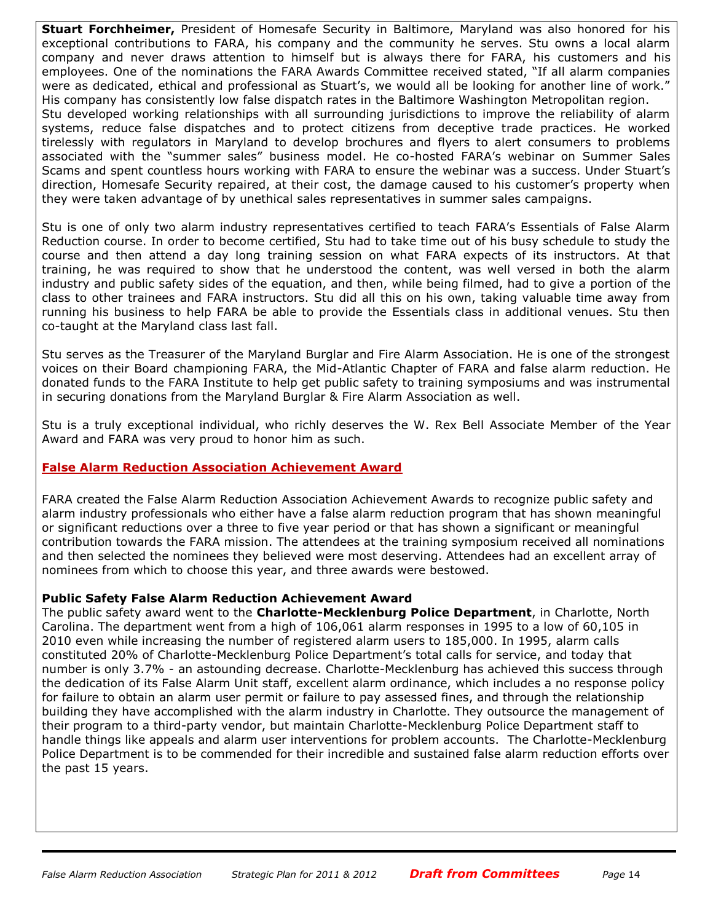**Stuart Forchheimer,** President of Homesafe Security in Baltimore, Maryland was also honored for his exceptional contributions to FARA, his company and the community he serves. Stu owns a local alarm company and never draws attention to himself but is always there for FARA, his customers and his employees. One of the nominations the FARA Awards Committee received stated, "If all alarm companies were as dedicated, ethical and professional as Stuart's, we would all be looking for another line of work." His company has consistently low false dispatch rates in the Baltimore Washington Metropolitan region. Stu developed working relationships with all surrounding jurisdictions to improve the reliability of alarm systems, reduce false dispatches and to protect citizens from deceptive trade practices. He worked tirelessly with regulators in Maryland to develop brochures and flyers to alert consumers to problems associated with the "summer sales" business model. He co-hosted FARA's webinar on Summer Sales Scams and spent countless hours working with FARA to ensure the webinar was a success. Under Stuart's direction, Homesafe Security repaired, at their cost, the damage caused to his customer's property when they were taken advantage of by unethical sales representatives in summer sales campaigns.

Stu is one of only two alarm industry representatives certified to teach FARA's Essentials of False Alarm Reduction course. In order to become certified, Stu had to take time out of his busy schedule to study the course and then attend a day long training session on what FARA expects of its instructors. At that training, he was required to show that he understood the content, was well versed in both the alarm industry and public safety sides of the equation, and then, while being filmed, had to give a portion of the class to other trainees and FARA instructors. Stu did all this on his own, taking valuable time away from running his business to help FARA be able to provide the Essentials class in additional venues. Stu then co-taught at the Maryland class last fall.

Stu serves as the Treasurer of the Maryland Burglar and Fire Alarm Association. He is one of the strongest voices on their Board championing FARA, the Mid-Atlantic Chapter of FARA and false alarm reduction. He donated funds to the FARA Institute to help get public safety to training symposiums and was instrumental in securing donations from the Maryland Burglar & Fire Alarm Association as well.

Stu is a truly exceptional individual, who richly deserves the W. Rex Bell Associate Member of the Year Award and FARA was very proud to honor him as such.

## **False Alarm Reduction Association Achievement Award**

FARA created the False Alarm Reduction Association Achievement Awards to recognize public safety and alarm industry professionals who either have a false alarm reduction program that has shown meaningful or significant reductions over a three to five year period or that has shown a significant or meaningful contribution towards the FARA mission. The attendees at the training symposium received all nominations and then selected the nominees they believed were most deserving. Attendees had an excellent array of nominees from which to choose this year, and three awards were bestowed.

## **Public Safety False Alarm Reduction Achievement Award**

The public safety award went to the **Charlotte-Mecklenburg Police Department**, in Charlotte, North Carolina. The department went from a high of 106,061 alarm responses in 1995 to a low of 60,105 in 2010 even while increasing the number of registered alarm users to 185,000. In 1995, alarm calls constituted 20% of Charlotte-Mecklenburg Police Department's total calls for service, and today that number is only 3.7% - an astounding decrease. Charlotte-Mecklenburg has achieved this success through the dedication of its False Alarm Unit staff, excellent alarm ordinance, which includes a no response policy for failure to obtain an alarm user permit or failure to pay assessed fines, and through the relationship building they have accomplished with the alarm industry in Charlotte. They outsource the management of their program to a third-party vendor, but maintain Charlotte-Mecklenburg Police Department staff to handle things like appeals and alarm user interventions for problem accounts. The Charlotte-Mecklenburg Police Department is to be commended for their incredible and sustained false alarm reduction efforts over the past 15 years.